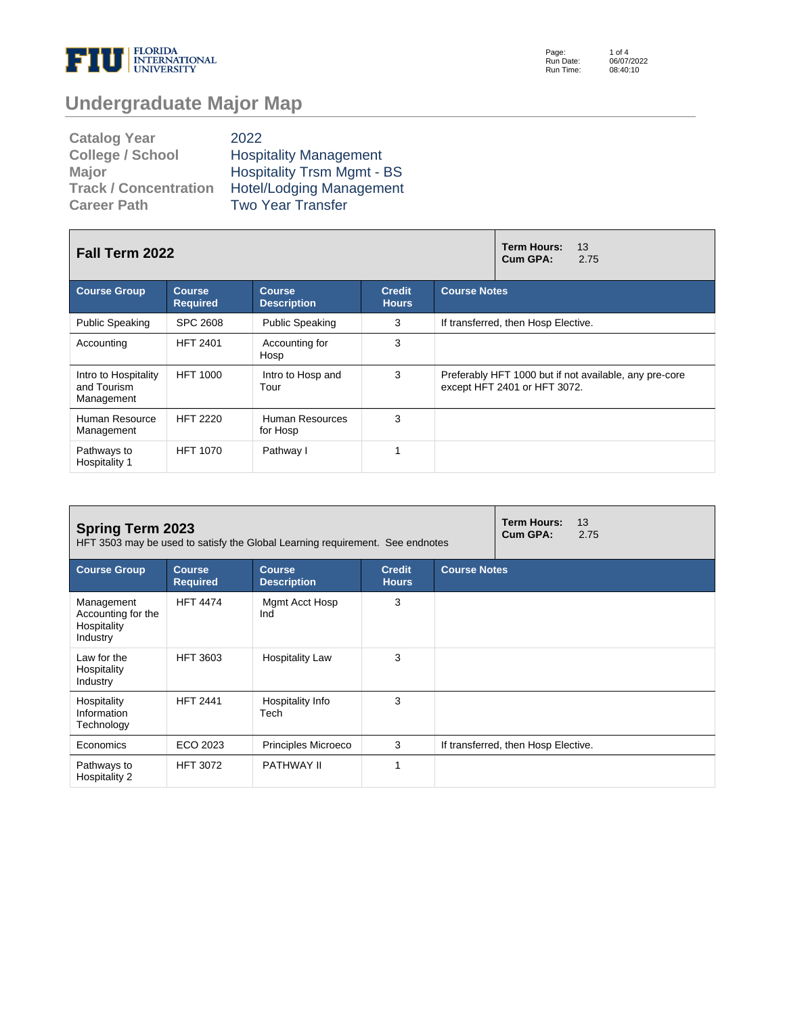

Page: Run Date: Run Time:

# **Undergraduate Major Map**

| <b>Catalog Year</b>          | 2022                              |
|------------------------------|-----------------------------------|
| <b>College / School</b>      | <b>Hospitality Management</b>     |
| <b>Major</b>                 | <b>Hospitality Trsm Mgmt - BS</b> |
| <b>Track / Concentration</b> | <b>Hotel/Lodging Management</b>   |
| <b>Career Path</b>           | <b>Two Year Transfer</b>          |

| <b>Fall Term 2022</b>                             |                                  |                                     |                               | <b>Term Hours:</b><br>13<br>Cum GPA:<br>2.75                                           |  |  |  |
|---------------------------------------------------|----------------------------------|-------------------------------------|-------------------------------|----------------------------------------------------------------------------------------|--|--|--|
| <b>Course Group</b>                               | <b>Course</b><br><b>Required</b> | <b>Course</b><br><b>Description</b> | <b>Credit</b><br><b>Hours</b> | <b>Course Notes</b>                                                                    |  |  |  |
| <b>Public Speaking</b>                            | SPC 2608                         | <b>Public Speaking</b>              | 3                             | If transferred, then Hosp Elective.                                                    |  |  |  |
| Accounting                                        | <b>HFT 2401</b>                  | Accounting for<br>Hosp              | 3                             |                                                                                        |  |  |  |
| Intro to Hospitality<br>and Tourism<br>Management | <b>HFT 1000</b>                  | Intro to Hosp and<br>Tour           | 3                             | Preferably HFT 1000 but if not available, any pre-core<br>except HFT 2401 or HFT 3072. |  |  |  |
| Human Resource<br>Management                      | <b>HFT 2220</b>                  | Human Resources<br>for Hosp         | 3                             |                                                                                        |  |  |  |
| Pathways to<br>Hospitality 1                      | <b>HFT 1070</b>                  | Pathway I                           | 4                             |                                                                                        |  |  |  |

| <b>Spring Term 2023</b><br>HFT 3503 may be used to satisfy the Global Learning requirement. See endnotes |                                  |                                     |                               |                     | <b>Term Hours:</b><br>Cum GPA:      | 13<br>2.75 |
|----------------------------------------------------------------------------------------------------------|----------------------------------|-------------------------------------|-------------------------------|---------------------|-------------------------------------|------------|
| <b>Course Group</b>                                                                                      | <b>Course</b><br><b>Required</b> | <b>Course</b><br><b>Description</b> | <b>Credit</b><br><b>Hours</b> | <b>Course Notes</b> |                                     |            |
| Management<br>Accounting for the<br>Hospitality<br>Industry                                              | <b>HFT 4474</b>                  | Mgmt Acct Hosp<br>Ind               | 3                             |                     |                                     |            |
| Law for the<br>Hospitality<br>Industry                                                                   | <b>HFT 3603</b>                  | <b>Hospitality Law</b>              | 3                             |                     |                                     |            |
| Hospitality<br>Information<br>Technology                                                                 | <b>HFT 2441</b>                  | Hospitality Info<br>Tech            | 3                             |                     |                                     |            |
| Economics                                                                                                | ECO 2023                         | Principles Microeco                 | 3                             |                     | If transferred, then Hosp Elective. |            |
| Pathways to<br>Hospitality 2                                                                             | <b>HFT 3072</b>                  | PATHWAY II                          |                               |                     |                                     |            |

1 of 4 06/07/2022 08:40:10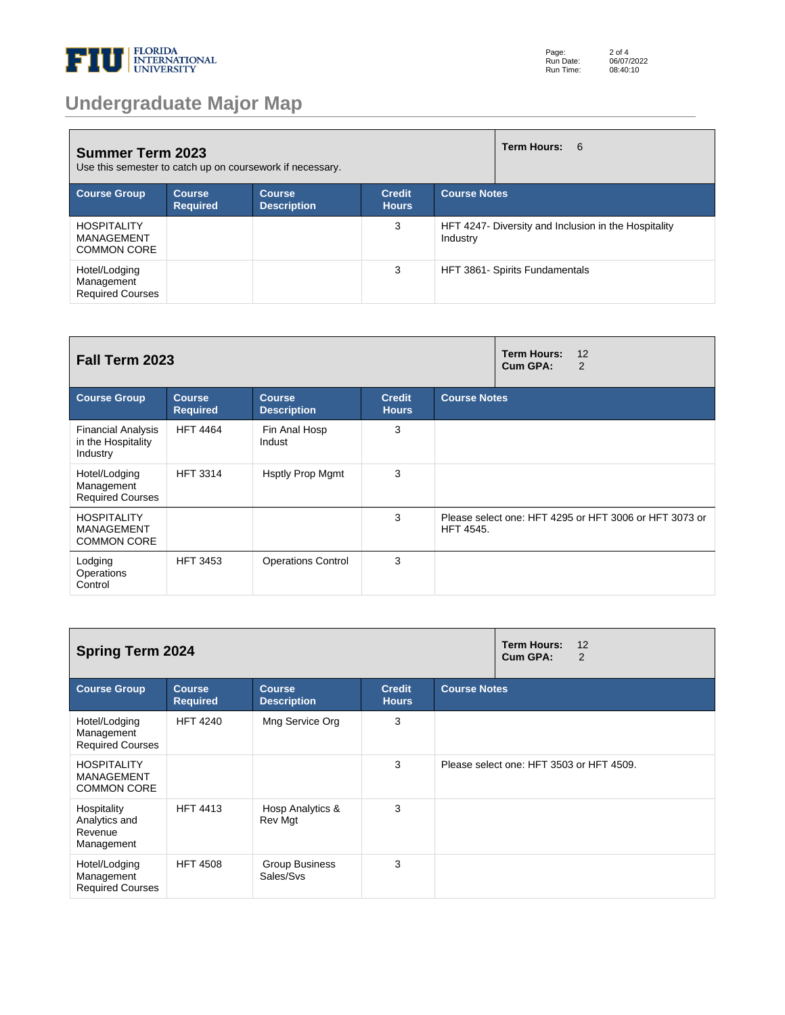

# **Undergraduate Major Map**

| Term Hours: 6<br><b>Summer Term 2023</b><br>Use this semester to catch up on coursework if necessary. |                            |                                     |                               |                                                                  |                                |  |
|-------------------------------------------------------------------------------------------------------|----------------------------|-------------------------------------|-------------------------------|------------------------------------------------------------------|--------------------------------|--|
| <b>Course Group</b>                                                                                   | Course,<br><b>Required</b> | <b>Course</b><br><b>Description</b> | <b>Credit</b><br><b>Hours</b> | <b>Course Notes</b>                                              |                                |  |
| <b>HOSPITALITY</b><br><b>MANAGEMENT</b><br><b>COMMON CORE</b>                                         |                            |                                     | 3                             | HFT 4247- Diversity and Inclusion in the Hospitality<br>Industry |                                |  |
| Hotel/Lodging<br>Management<br><b>Required Courses</b>                                                |                            |                                     | 3                             |                                                                  | HFT 3861- Spirits Fundamentals |  |

| Fall Term 2023                                                |                                  |                                     |                               | <b>Term Hours:</b><br>12<br>Cum GPA:<br>2 |                                                        |
|---------------------------------------------------------------|----------------------------------|-------------------------------------|-------------------------------|-------------------------------------------|--------------------------------------------------------|
| <b>Course Group</b>                                           | <b>Course</b><br><b>Required</b> | <b>Course</b><br><b>Description</b> | <b>Credit</b><br><b>Hours</b> | <b>Course Notes</b>                       |                                                        |
| <b>Financial Analysis</b><br>in the Hospitality<br>Industry   | <b>HFT 4464</b>                  | Fin Anal Hosp<br>Indust             | 3                             |                                           |                                                        |
| Hotel/Lodging<br>Management<br><b>Required Courses</b>        | <b>HFT 3314</b>                  | <b>Hsptly Prop Mgmt</b>             | 3                             |                                           |                                                        |
| <b>HOSPITALITY</b><br><b>MANAGEMENT</b><br><b>COMMON CORE</b> |                                  |                                     | 3                             | <b>HFT 4545.</b>                          | Please select one: HFT 4295 or HFT 3006 or HFT 3073 or |
| Lodging<br>Operations<br>Control                              | <b>HFT 3453</b>                  | <b>Operations Control</b>           | 3                             |                                           |                                                        |

| <b>Spring Term 2024</b>                                       |                                  |                                     |                               | <b>Term Hours:</b><br>12<br>Cum GPA:<br>$\overline{2}$ |                                          |  |
|---------------------------------------------------------------|----------------------------------|-------------------------------------|-------------------------------|--------------------------------------------------------|------------------------------------------|--|
| <b>Course Group</b>                                           | <b>Course</b><br><b>Required</b> | <b>Course</b><br><b>Description</b> | <b>Credit</b><br><b>Hours</b> | <b>Course Notes</b>                                    |                                          |  |
| Hotel/Lodging<br>Management<br><b>Required Courses</b>        | <b>HFT 4240</b>                  | Mng Service Org                     | 3                             |                                                        |                                          |  |
| <b>HOSPITALITY</b><br><b>MANAGEMENT</b><br><b>COMMON CORE</b> |                                  |                                     | 3                             |                                                        | Please select one: HFT 3503 or HFT 4509. |  |
| Hospitality<br>Analytics and<br>Revenue<br>Management         | <b>HFT 4413</b>                  | Hosp Analytics &<br>Rev Mgt         | 3                             |                                                        |                                          |  |
| Hotel/Lodging<br>Management<br><b>Required Courses</b>        | <b>HFT 4508</b>                  | Group Business<br>Sales/Svs         | 3                             |                                                        |                                          |  |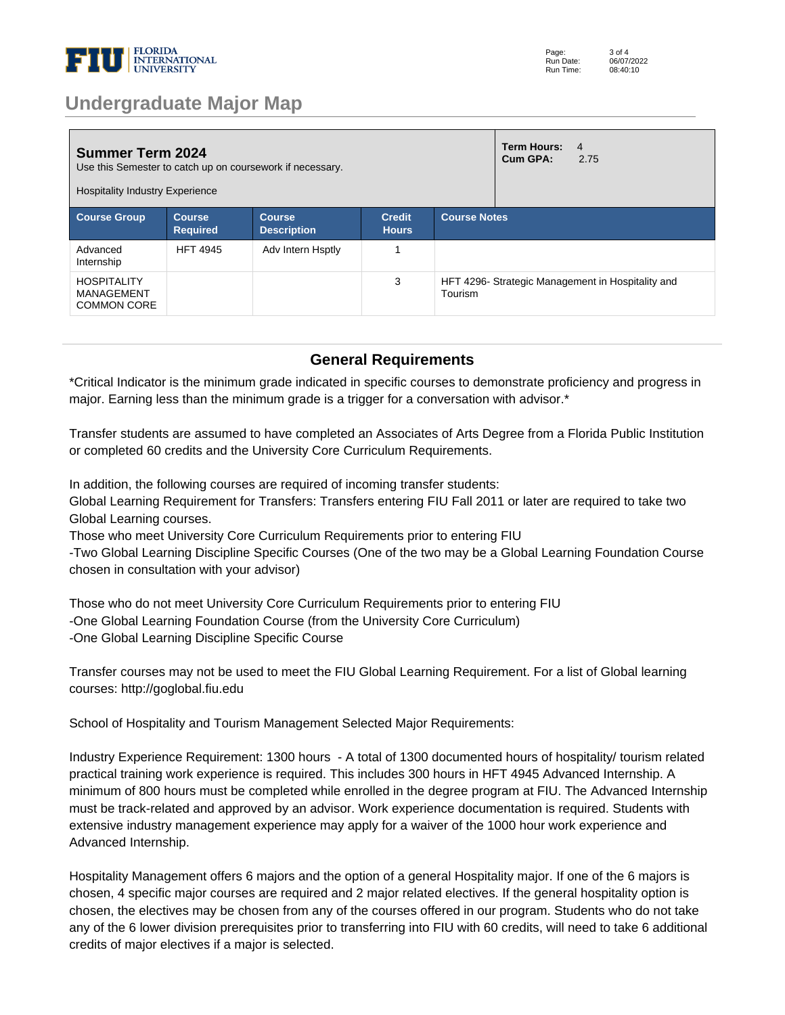

### **Undergraduate Major Map**

| <b>Summer Term 2024</b><br>Use this Semester to catch up on coursework if necessary.<br><b>Hospitality Industry Experience</b> |                                  |                                     |                               |                                                              | Term Hours:<br>Cum GPA: | $\overline{4}$<br>2.75 |
|--------------------------------------------------------------------------------------------------------------------------------|----------------------------------|-------------------------------------|-------------------------------|--------------------------------------------------------------|-------------------------|------------------------|
| <b>Course Group</b>                                                                                                            | <b>Course</b><br><b>Required</b> | <b>Course</b><br><b>Description</b> | <b>Credit</b><br><b>Hours</b> | <b>Course Notes</b>                                          |                         |                        |
| Advanced<br>Internship                                                                                                         | <b>HFT 4945</b>                  | Adv Intern Hsptly                   |                               |                                                              |                         |                        |
| <b>HOSPITALITY</b><br>MANAGEMENT<br><b>COMMON CORE</b>                                                                         |                                  |                                     | 3                             | HFT 4296- Strategic Management in Hospitality and<br>Tourism |                         |                        |

#### **General Requirements**

\*Critical Indicator is the minimum grade indicated in specific courses to demonstrate proficiency and progress in major. Earning less than the minimum grade is a trigger for a conversation with advisor.\*

Transfer students are assumed to have completed an Associates of Arts Degree from a Florida Public Institution or completed 60 credits and the University Core Curriculum Requirements. 

In addition, the following courses are required of incoming transfer students: 

Global Learning Requirement for Transfers: Transfers entering FIU Fall 2011 or later are required to take two Global Learning courses. 

Those who meet University Core Curriculum Requirements prior to entering FIU 

-Two Global Learning Discipline Specific Courses (One of the two may be a Global Learning Foundation Course chosen in consultation with your advisor) 

Those who do not meet University Core Curriculum Requirements prior to entering FIU -One Global Learning Foundation Course (from the University Core Curriculum) -One Global Learning Discipline Specific Course 

Transfer courses may not be used to meet the FIU Global Learning Requirement. For a list of Global learning courses: http://goglobal.fiu.edu 

School of Hospitality and Tourism Management Selected Major Requirements: 

Industry Experience Requirement: 1300 hours - A total of 1300 documented hours of hospitality/ tourism related practical training work experience is required. This includes 300 hours in HFT 4945 Advanced Internship. A minimum of 800 hours must be completed while enrolled in the degree program at FIU. The Advanced Internship must be track-related and approved by an advisor. Work experience documentation is required. Students with extensive industry management experience may apply for a waiver of the 1000 hour work experience and Advanced Internship. 

Hospitality Management offers 6 majors and the option of a general Hospitality major. If one of the 6 majors is chosen, 4 specific major courses are required and 2 major related electives. If the general hospitality option is chosen, the electives may be chosen from any of the courses offered in our program. Students who do not take any of the 6 lower division prerequisites prior to transferring into FIU with 60 credits, will need to take 6 additional credits of major electives if a major is selected.